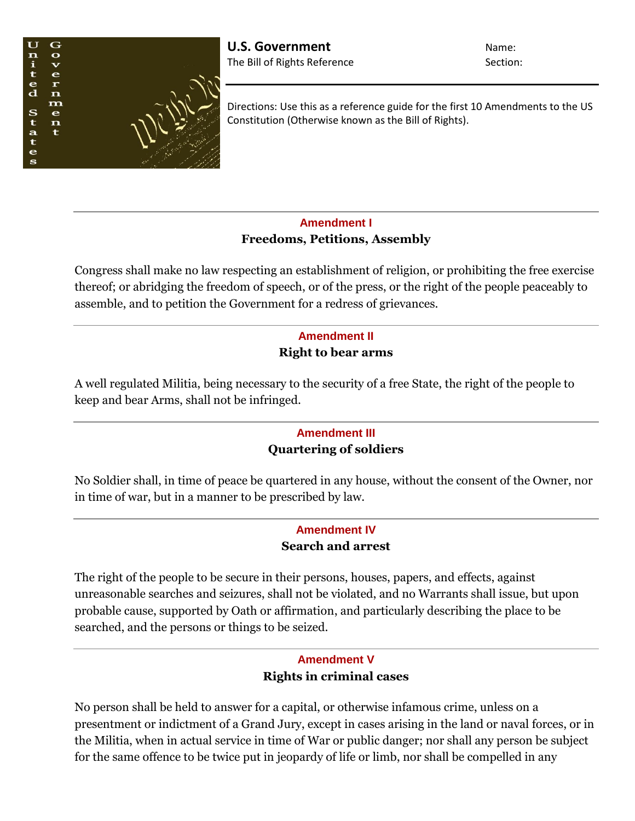

Directions: Use this as a reference guide for the first 10 Amendments to the US Constitution (Otherwise known as the Bill of Rights).

## **Amendment I Freedoms, Petitions, Assembly**

Congress shall make no law respecting an establishment of religion, or prohibiting the free exercise thereof; or abridging the freedom of speech, or of the press, or the right of the people peaceably to assemble, and to petition the Government for a redress of grievances.

# **Amendment II Right to bear arms**

A well regulated Militia, being necessary to the security of a free State, the right of the people to keep and bear Arms, shall not be infringed.

## **Amendment III Quartering of soldiers**

No Soldier shall, in time of peace be quartered in any house, without the consent of the Owner, nor in time of war, but in a manner to be prescribed by law.

## **Amendment IV Search and arrest**

The right of the people to be secure in their persons, houses, papers, and effects, against unreasonable searches and seizures, shall not be violated, and no Warrants shall issue, but upon probable cause, supported by Oath or affirmation, and particularly describing the place to be searched, and the persons or things to be seized.

## **Amendment V Rights in criminal cases**

No person shall be held to answer for a capital, or otherwise infamous crime, unless on a presentment or indictment of a Grand Jury, except in cases arising in the land or naval forces, or in the Militia, when in actual service in time of War or public danger; nor shall any person be subject for the same offence to be twice put in jeopardy of life or limb, nor shall be compelled in any